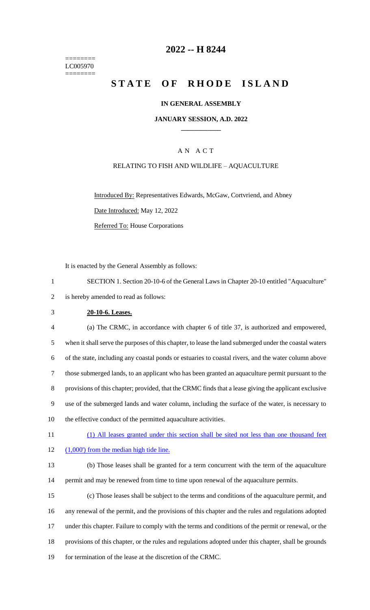======== LC005970 ========

## **2022 -- H 8244**

## **STATE OF RHODE ISLAND**

#### **IN GENERAL ASSEMBLY**

#### **JANUARY SESSION, A.D. 2022 \_\_\_\_\_\_\_\_\_\_\_\_**

### A N A C T

#### RELATING TO FISH AND WILDLIFE – AQUACULTURE

Introduced By: Representatives Edwards, McGaw, Cortvriend, and Abney Date Introduced: May 12, 2022 Referred To: House Corporations

It is enacted by the General Assembly as follows:

| SECTION 1. Section 20-10-6 of the General Laws in Chapter 20-10 entitled "Aquaculture" |
|----------------------------------------------------------------------------------------|
| 2 is hereby amended to read as follows:                                                |

#### 3 **20-10-6. Leases.**

| $\overline{4}$ | (a) The CRMC, in accordance with chapter 6 of title 37, is authorized and empowered,                   |
|----------------|--------------------------------------------------------------------------------------------------------|
| 5              | when it shall serve the purposes of this chapter, to lease the land submerged under the coastal waters |
| 6              | of the state, including any coastal ponds or estuaries to coastal rivers, and the water column above   |
|                | those submerged lands, to an applicant who has been granted an aquaculture permit pursuant to the      |
| 8              | provisions of this chapter; provided, that the CRMC finds that a lease giving the applicant exclusive  |
| 9              | use of the submerged lands and water column, including the surface of the water, is necessary to       |
| 10             | the effective conduct of the permitted aquaculture activities.                                         |

- 11 (1) All leases granted under this section shall be sited not less than one thousand feet
- 12 (1,000) from the median high tide line.
- 13 (b) Those leases shall be granted for a term concurrent with the term of the aquaculture 14 permit and may be renewed from time to time upon renewal of the aquaculture permits.
- 15 (c) Those leases shall be subject to the terms and conditions of the aquaculture permit, and 16 any renewal of the permit, and the provisions of this chapter and the rules and regulations adopted 17 under this chapter. Failure to comply with the terms and conditions of the permit or renewal, or the 18 provisions of this chapter, or the rules and regulations adopted under this chapter, shall be grounds 19 for termination of the lease at the discretion of the CRMC.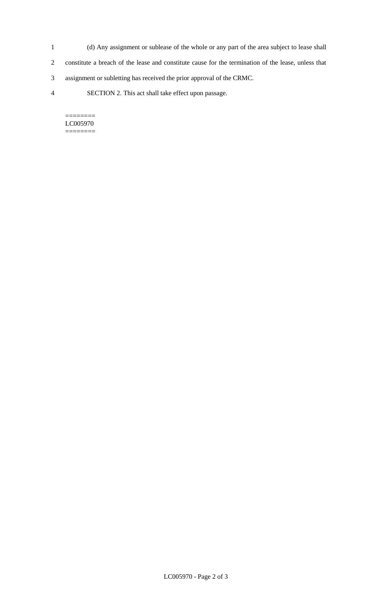- 1 (d) Any assignment or sublease of the whole or any part of the area subject to lease shall 2 constitute a breach of the lease and constitute cause for the termination of the lease, unless that
- 3 assignment or subletting has received the prior approval of the CRMC.
- 4 SECTION 2. This act shall take effect upon passage.

======== LC005970 ========